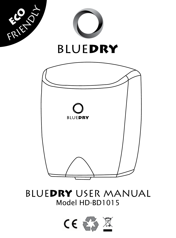

# BLUEDRY USER MANUAL Model HD-BD1015

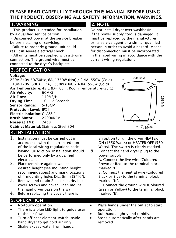#### PLEASE READ CAREFULLY THROUGH THIS MANUAL BEFORE USING THE PRODUCT, OBSERVING ALL SAFETY INFORMATION, WARNINGS.

#### 1. WARNING

• This product is intended for installation by a qualified service person.

• Disconnect power at the service breaker before installing or servicing.

•Failure to properly ground unit could result in severe electrical shock.

• All units must be supplied with a 3-wire connection. The ground wire must be connected to the dryer's backplate.

## 3. SPECIFICATION

#### Voltage:

220V-240V 50/60Hz, 6A, 1350W (Hot) / 2.4A, 550W (Cold) 110V-120V, 60Hz, 12A, 1350W (Hot) / 4.8A, 550W (Cold) Air Temperature: 45°C (D=10cm, Room Temperature=25°C) Air Velocity: 60M/S Air Flow: 140M<sup>3</sup>/H Drying Time: 10 - 12 Seconds Sensor Range: 5-15CM Protection Level: IPX1 Electric Isolation: CLASS 1 Brush Motor: 25000RPM Noise(at 1M): 74dB Cabinet Material: Stainless Steel 304

## 4. INSTALLATION

- 1. Installation must be carried out in accordance with the current edition of the local wiring regulations code having jurisdiction. Installation should be performed only by a qualified electrician.
- 2. Place template against wall at desired height (see mounting height recommendations) and mark locations of 4 mounting holes Dia. 8mm (5/16").
- Heat Element cover screws and cover. Then mount 3. Remove and retain 2 side security hex the hand dryer base on the wall.
- 4. Before replacing the cover, there is

# 5. OPERATION

- No-touch operation.<br>• There is a blue LED I
- There is a blue LED light to guide user to the air flow.

White

 $\overline{\phantom{a}}$ 

Hot / Cold Switcher

- Turn off heat element switch inside hand dryer to get cold air only.
- Shake excess water from hands.

#### 2. NOTE

Do not install dryer over washbasin. If the power supply cord is damaged, it must be replaced by the manufacturer or its service agent or a similar qualified person in order to avoid a hazard. Means for disconnection must be incorporated in the fixed wiring in accordance with the current wiring regulations.



an option to run the dryer HEATER ON (1350 Watts) or HEATER OFF (550 Watts). The switch is clearly marked.

5. Connect the hand dryer plug to the power supply.

A. Connect the live wire (Coloured Brown or Red) to the terminal block marked "L".

Black or Blue) to the terminal block marked "N". B. Connect the neutral wire (Coloured

Green or Yellow) to the terminal block marked "E". C. Connect the ground wire (Coloured

- Place hands under the outlet to start operation.
- Rub hands lightly and rapidly.<br>• Stops automatically after hand
- emoved. Stops automatically after hands are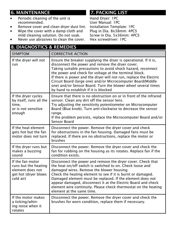# 6. MAINTENANCE

- Periodic cleaning of the unit is recommended.
- Remove cover and clean dryer dust lint.<br>• Wine the cover with a damn cloth and
- Wipe the cover with a damp cloth and mild cleaning solution. Do not soak.
- Never use abrasives to clean the cover.

8. DIAGNOSTICS & REMEDIES

# 7. PACKING LIST

Hand Dryer: 1PC User Manual: 1PC Installation Template: 1PC Plug in Dia. 8x38mm: 4PCS Screw in Dia. 5x36mm: 4PCS Hex screwdriver: 1PC

| <b>8. DIAGNUSTICS &amp; KEMEDIES</b>                                                              |                                                                                                                                                                                                                                                                                                                                                                                                                                                                                               |  |
|---------------------------------------------------------------------------------------------------|-----------------------------------------------------------------------------------------------------------------------------------------------------------------------------------------------------------------------------------------------------------------------------------------------------------------------------------------------------------------------------------------------------------------------------------------------------------------------------------------------|--|
| <b>SYMPTOM</b>                                                                                    | <b>CORRECTIVE ACTION</b>                                                                                                                                                                                                                                                                                                                                                                                                                                                                      |  |
| If the dryer will not<br>run                                                                      | Ensure the breaker supplying the dryer is operational. If it is,<br>disconnect the power and remove the dryer cover.<br>Taking suitable precautions to avoid shock hazard, reconnect<br>the power and check for voltage at the terminal block.<br>If there is power and the dryer will not run, replace the Electric<br>Circuit Board (large one) and/or Microcomputer Board(Middle<br>one) and/or Sensor Board. Turn the blower wheel several times<br>by hand to establish if it is blocked |  |
| If the dryer cycles<br>by itself, runs all the<br>time.<br>or is not sensitive<br>enough          | Ensure that there is no obstruction on or in front of the infrared<br>sensor. Clean any dirt off the sensor lens.<br>Try adjusting the sensitivity potentiometer on Microcomputer<br>Board (Blue knob). Turn anti-clockwise to decrease the sensor<br>range.<br>If the problem persists, replace the Microcomputer Board and/or<br>Sensor Board                                                                                                                                               |  |
| If the heat element<br>gets hot but the fan<br>motor does not turn                                | Disconnect the power. Remove the dryer cover and check<br>for obstructions in the fan housing. Damaged fans must be<br>replaced. If there are no obstructions, replace the motor or<br>brushes                                                                                                                                                                                                                                                                                                |  |
| If the dryer runs but<br>makes a buzzing<br>sound                                                 | Disconnect the power. Remove the dryer cover and check the<br>fan for rubbing on the housing as its rotates. Replace fan if the<br>condition exists.                                                                                                                                                                                                                                                                                                                                          |  |
| If the fan motor<br>runs but the heating<br>element does not<br>get hot (dryer blows<br>cold air) | Disconnect the power and remove the dryer cover. Check that<br>the heat on/off switch is switched to on. Check loose and<br>damaged wires. Remove the blower housing.<br>Check the heating element to see if it is burnt or damaged.<br>Damaged element must be replaced. If the element does not<br>appear damaged, disconnect it at the Electric Board and check<br>element wire continuity. Please check thermostat on the heating<br>element at the same time.                            |  |
| If the motor makes<br>a ticking/whin-<br>ing noise when it<br>rotates                             | Disconnect the power. Remove the dryer cover and check the<br>brushes for worn condition, replace them if necessary.                                                                                                                                                                                                                                                                                                                                                                          |  |